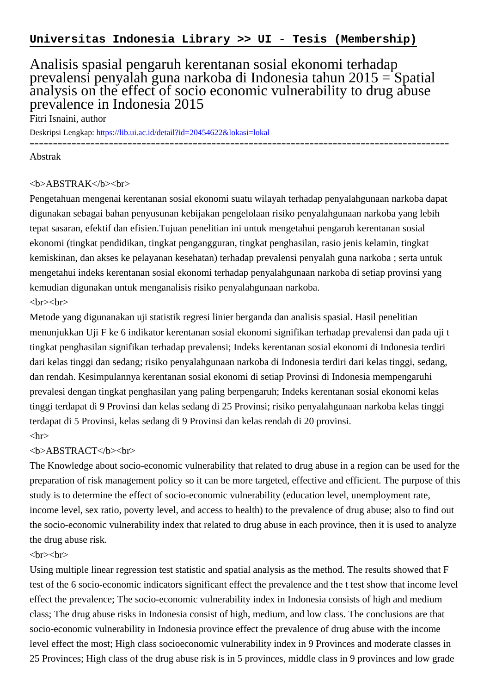# Analisis spasial pengaruh kerentanan sosial ekonomi terhadap prevalensi penyalah guna narkoba di Indonesia tahun 2015 = Spatial analysis on the effect of socio economic vulnerability to drug abuse prevalence in Indonesia 2015

Fitri Isnaini, author

Deskripsi Lengkap:<https://lib.ui.ac.id/detail?id=20454622&lokasi=lokal>

------------------------------------------------------------------------------------------

Abstrak

#### <b>ABSTRAK</b><br>

Pengetahuan mengenai kerentanan sosial ekonomi suatu wilayah terhadap penyalahgunaan narkoba dapat digunakan sebagai bahan penyusunan kebijakan pengelolaan risiko penyalahgunaan narkoba yang lebih tepat sasaran, efektif dan efisien.Tujuan penelitian ini untuk mengetahui pengaruh kerentanan sosial ekonomi (tingkat pendidikan, tingkat pengangguran, tingkat penghasilan, rasio jenis kelamin, tingkat kemiskinan, dan akses ke pelayanan kesehatan) terhadap prevalensi penyalah guna narkoba ; serta untuk mengetahui indeks kerentanan sosial ekonomi terhadap penyalahgunaan narkoba di setiap provinsi yang kemudian digunakan untuk menganalisis risiko penyalahgunaan narkoba.

## <br>>
<br>

Metode yang digunanakan uji statistik regresi linier berganda dan analisis spasial. Hasil penelitian menunjukkan Uji F ke 6 indikator kerentanan sosial ekonomi signifikan terhadap prevalensi dan pada uji t tingkat penghasilan signifikan terhadap prevalensi; Indeks kerentanan sosial ekonomi di Indonesia terdiri dari kelas tinggi dan sedang; risiko penyalahgunaan narkoba di Indonesia terdiri dari kelas tinggi, sedang, dan rendah. Kesimpulannya kerentanan sosial ekonomi di setiap Provinsi di Indonesia mempengaruhi prevalesi dengan tingkat penghasilan yang paling berpengaruh; Indeks kerentanan sosial ekonomi kelas tinggi terdapat di 9 Provinsi dan kelas sedang di 25 Provinsi; risiko penyalahgunaan narkoba kelas tinggi terdapat di 5 Provinsi, kelas sedang di 9 Provinsi dan kelas rendah di 20 provinsi.  $\langle$ hr $>$ 

## <b>ABSTRACT</b><br>

The Knowledge about socio-economic vulnerability that related to drug abuse in a region can be used for the preparation of risk management policy so it can be more targeted, effective and efficient. The purpose of this study is to determine the effect of socio-economic vulnerability (education level, unemployment rate, income level, sex ratio, poverty level, and access to health) to the prevalence of drug abuse; also to find out the socio-economic vulnerability index that related to drug abuse in each province, then it is used to analyze the drug abuse risk.

## $\langle b r \rangle \langle b r \rangle$

Using multiple linear regression test statistic and spatial analysis as the method. The results showed that F test of the 6 socio-economic indicators significant effect the prevalence and the t test show that income level effect the prevalence; The socio-economic vulnerability index in Indonesia consists of high and medium class; The drug abuse risks in Indonesia consist of high, medium, and low class. The conclusions are that socio-economic vulnerability in Indonesia province effect the prevalence of drug abuse with the income level effect the most; High class socioeconomic vulnerability index in 9 Provinces and moderate classes in 25 Provinces; High class of the drug abuse risk is in 5 provinces, middle class in 9 provinces and low grade